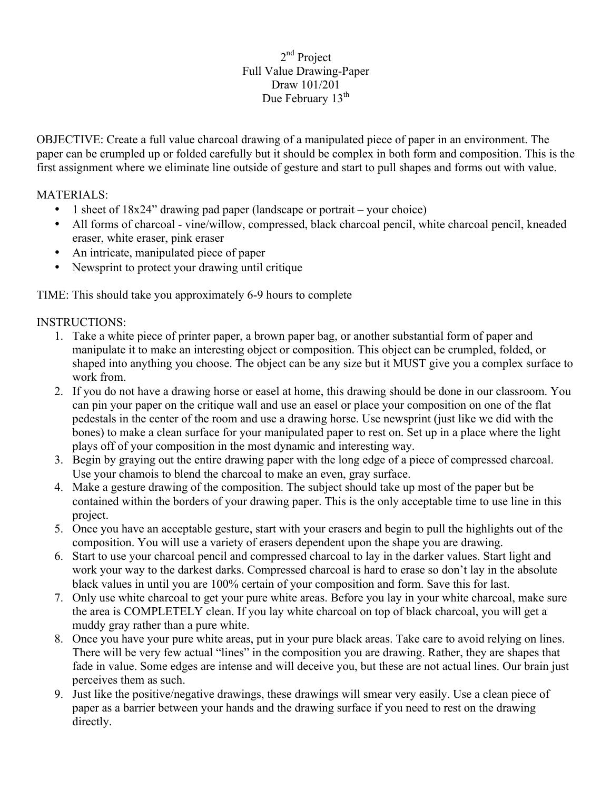## 2<sup>nd</sup> Project Full Value Drawing-Paper Draw 101/201 Due February 13<sup>th</sup>

OBJECTIVE: Create a full value charcoal drawing of a manipulated piece of paper in an environment. The paper can be crumpled up or folded carefully but it should be complex in both form and composition. This is the first assignment where we eliminate line outside of gesture and start to pull shapes and forms out with value.

MATERIALS:

- 1 sheet of 18x24" drawing pad paper (landscape or portrait your choice)
- All forms of charcoal vine/willow, compressed, black charcoal pencil, white charcoal pencil, kneaded eraser, white eraser, pink eraser
- An intricate, manipulated piece of paper
- Newsprint to protect your drawing until critique

TIME: This should take you approximately 6-9 hours to complete

## INSTRUCTIONS:

- 1. Take a white piece of printer paper, a brown paper bag, or another substantial form of paper and manipulate it to make an interesting object or composition. This object can be crumpled, folded, or shaped into anything you choose. The object can be any size but it MUST give you a complex surface to work from.
- 2. If you do not have a drawing horse or easel at home, this drawing should be done in our classroom. You can pin your paper on the critique wall and use an easel or place your composition on one of the flat pedestals in the center of the room and use a drawing horse. Use newsprint (just like we did with the bones) to make a clean surface for your manipulated paper to rest on. Set up in a place where the light plays off of your composition in the most dynamic and interesting way.
- 3. Begin by graying out the entire drawing paper with the long edge of a piece of compressed charcoal. Use your chamois to blend the charcoal to make an even, gray surface.
- 4. Make a gesture drawing of the composition. The subject should take up most of the paper but be contained within the borders of your drawing paper. This is the only acceptable time to use line in this project.
- 5. Once you have an acceptable gesture, start with your erasers and begin to pull the highlights out of the composition. You will use a variety of erasers dependent upon the shape you are drawing.
- 6. Start to use your charcoal pencil and compressed charcoal to lay in the darker values. Start light and work your way to the darkest darks. Compressed charcoal is hard to erase so don't lay in the absolute black values in until you are 100% certain of your composition and form. Save this for last.
- 7. Only use white charcoal to get your pure white areas. Before you lay in your white charcoal, make sure the area is COMPLETELY clean. If you lay white charcoal on top of black charcoal, you will get a muddy gray rather than a pure white.
- 8. Once you have your pure white areas, put in your pure black areas. Take care to avoid relying on lines. There will be very few actual "lines" in the composition you are drawing. Rather, they are shapes that fade in value. Some edges are intense and will deceive you, but these are not actual lines. Our brain just perceives them as such.
- 9. Just like the positive/negative drawings, these drawings will smear very easily. Use a clean piece of paper as a barrier between your hands and the drawing surface if you need to rest on the drawing directly.